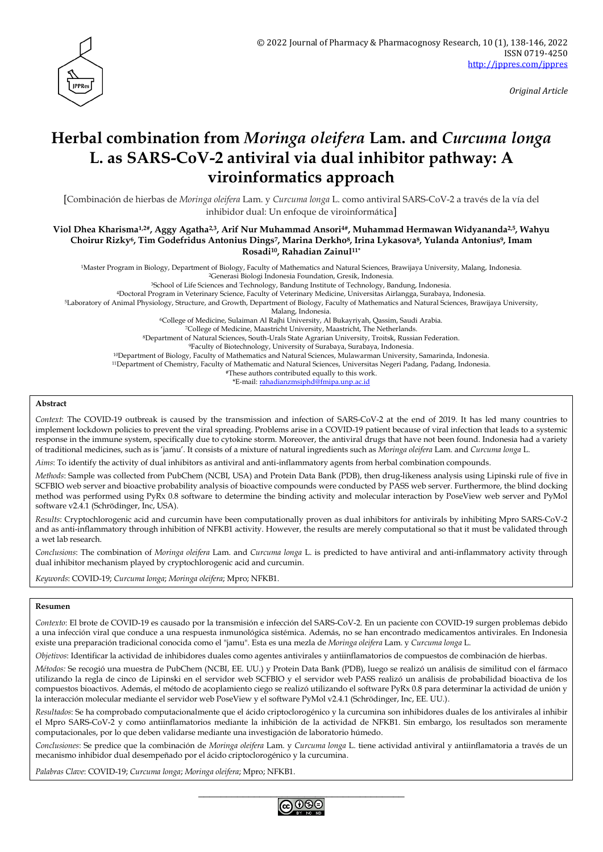

*Original Article*

# **Herbal combination from** *Moringa oleifera* **Lam. and** *Curcuma longa* **L. as SARS-CoV-2 antiviral via dual inhibitor pathway: A viroinformatics approach**

[Combinación de hierbas de *Moringa oleifera* Lam. y *Curcuma longa* L. como antiviral SARS-CoV-2 a través de la vía del inhibidor dual: Un enfoque de viroinformática]

**Viol Dhea Kharisma1,2#, Aggy Agatha2,3, Arif Nur Muhammad Ansori4#, Muhammad Hermawan Widyananda2,5, Wahyu Choirur Rizky6, Tim Godefridus Antonius Dings7, Marina Derkho8, Irina Lykasova8, Yulanda Antonius9, Imam Rosadi10, Rahadian Zainul11\***

<sup>1</sup>Master Program in Biology, Department of Biology, Faculty of Mathematics and Natural Sciences, Brawijaya University, Malang, Indonesia. <sup>2</sup>Generasi Biologi Indonesia Foundation, Gresik, Indonesia.

<sup>3</sup>School of Life Sciences and Technology, Bandung Institute of Technology, Bandung, Indonesia.

<sup>4</sup>Doctoral Program in Veterinary Science, Faculty of Veterinary Medicine, Universitas Airlangga, Surabaya, Indonesia.

<sup>5</sup>Laboratory of Animal Physiology, Structure, and Growth, Department of Biology, Faculty of Mathematics and Natural Sciences, Brawijaya University,

Malang, Indonesia.

<sup>6</sup>College of Medicine, Sulaiman Al Rajhi University, Al Bukayriyah, Qassim, Saudi Arabia.

<sup>7</sup>College of Medicine, Maastricht University, Maastricht, The Netherlands.

<sup>8</sup>Department of Natural Sciences, South-Urals State Agrarian University, Troitsk, Russian Federation.

<sup>9</sup>Faculty of Biotechnology, University of Surabaya, Surabaya, Indonesia.

<sup>10</sup>Department of Biology, Faculty of Mathematics and Natural Sciences, Mulawarman University, Samarinda, Indonesia. <sup>11</sup>Department of Chemistry, Faculty of Mathematic and Natural Sciences, Universitas Negeri Padang, Padang, Indonesia.

#These authors contributed equally to this work.

\*E-mail: [rahadianzmsiphd@fmipa.unp.ac.id](mailto:rahadianzmsiphd@fmipa.unp.ac.id)

#### **Abstract**

*Context*: The COVID-19 outbreak is caused by the transmission and infection of SARS-CoV-2 at the end of 2019. It has led many countries to implement lockdown policies to prevent the viral spreading. Problems arise in a COVID-19 patient because of viral infection that leads to a systemic response in the immune system, specifically due to cytokine storm. Moreover, the antiviral drugs that have not been found. Indonesia had a variety of traditional medicines, such as is 'jamu'. It consists of a mixture of natural ingredients such as *Moringa oleifera* Lam. and *Curcuma longa* L.

*Aims*: To identify the activity of dual inhibitors as antiviral and anti-inflammatory agents from herbal combination compounds.

*Methods*: Sample was collected from PubChem (NCBI, USA) and Protein Data Bank (PDB), then drug-likeness analysis using Lipinski rule of five in SCFBIO web server and bioactive probability analysis of bioactive compounds were conducted by PASS web server. Furthermore, the blind docking method was performed using PyRx 0.8 software to determine the binding activity and molecular interaction by PoseView web server and PyMol software v2.4.1 (Schrödinger, Inc, USA).

*Results*: Cryptochlorogenic acid and curcumin have been computationally proven as dual inhibitors for antivirals by inhibiting Mpro SARS-CoV-2 and as anti-inflammatory through inhibition of NFKB1 activity. However, the results are merely computational so that it must be validated through a wet lab research.

*Conclusions*: The combination of *Moringa oleifera* Lam. and *Curcuma longa* L. is predicted to have antiviral and anti-inflammatory activity through dual inhibitor mechanism played by cryptochlorogenic acid and curcumin.

*Keywords*: COVID-19; *Curcuma longa*; *Moringa oleifera*; Mpro; NFKB1.

#### **Resumen**

*Contexto*: El brote de COVID-19 es causado por la transmisión e infección del SARS-CoV-2. En un paciente con COVID-19 surgen problemas debido a una infección viral que conduce a una respuesta inmunológica sistémica. Además, no se han encontrado medicamentos antivirales. En Indonesia existe una preparación tradicional conocida como el "jamu". Esta es una mezla de *Moringa oleifera* Lam. y *Curcuma longa* L.

*Objetivos*: Identificar la actividad de inhibidores duales como agentes antivirales y antiinflamatorios de compuestos de combinación de hierbas.

*Métodos:* Se recogió una muestra de PubChem (NCBI, EE. UU.) y Protein Data Bank (PDB), luego se realizó un análisis de similitud con el fármaco utilizando la regla de cinco de Lipinski en el servidor web SCFBIO y el servidor web PASS realizó un análisis de probabilidad bioactiva de los compuestos bioactivos. Además, el método de acoplamiento ciego se realizó utilizando el software PyRx 0.8 para determinar la actividad de unión y la interacción molecular mediante el servidor web PoseView y el software PyMol v2.4.1 (Schrödinger, Inc, EE. UU.).

*Resultados*: Se ha comprobado computacionalmente que el ácido criptoclorogénico y la curcumina son inhibidores duales de los antivirales al inhibir el Mpro SARS-CoV-2 y como antiinflamatorios mediante la inhibición de la actividad de NFKB1. Sin embargo, los resultados son meramente computacionales, por lo que deben validarse mediante una investigación de laboratorio húmedo.

*Conclusiones*: Se predice que la combinación de *Moringa oleifera* Lam. y *Curcuma longa* L. tiene actividad antiviral y antiinflamatoria a través de un mecanismo inhibidor dual desempeñado por el ácido criptoclorogénico y la curcumina.

*Palabras Clave*: COVID-19; *Curcuma longa*; *Moringa oleifera*; Mpro; NFKB1.

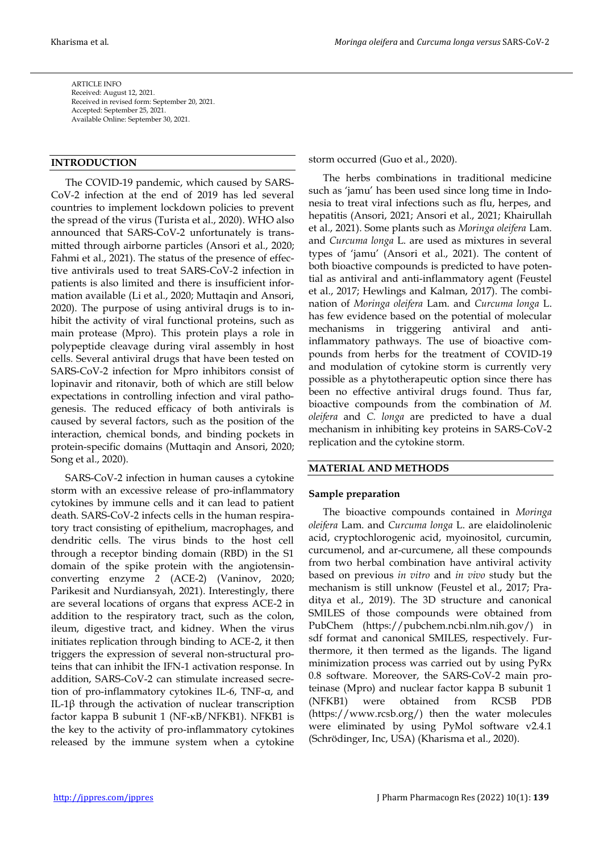ARTICLE INFO Received: August 12, 2021. Received in revised form: September 20, 2021. Accepted: September 25, 2021. Available Online: September 30, 2021.

## **INTRODUCTION**

The COVID-19 pandemic, which caused by SARS-CoV-2 infection at the end of 2019 has led several countries to implement lockdown policies to prevent the spread of the virus (Turista et al., 2020). WHO also announced that SARS-CoV-2 unfortunately is transmitted through airborne particles (Ansori et al., 2020; Fahmi et al., 2021). The status of the presence of effective antivirals used to treat SARS-CoV-2 infection in patients is also limited and there is insufficient information available (Li et al., 2020; Muttaqin and Ansori, 2020). The purpose of using antiviral drugs is to inhibit the activity of viral functional proteins, such as main protease (Mpro). This protein plays a role in polypeptide cleavage during viral assembly in host cells. Several antiviral drugs that have been tested on SARS-CoV-2 infection for Mpro inhibitors consist of lopinavir and ritonavir, both of which are still below expectations in controlling infection and viral pathogenesis. The reduced efficacy of both antivirals is caused by several factors, such as the position of the interaction, chemical bonds, and binding pockets in protein-specific domains (Muttaqin and Ansori, 2020; Song et al., 2020).

SARS-CoV-2 infection in human causes a cytokine storm with an excessive release of pro-inflammatory cytokines by immune cells and it can lead to patient death. SARS-CoV-2 infects cells in the human respiratory tract consisting of epithelium, macrophages, and dendritic cells. The virus binds to the host cell through a receptor binding domain (RBD) in the S1 domain of the spike protein with the angiotensinconverting enzyme *2* (ACE-2) (Vaninov, 2020; Parikesit and Nurdiansyah, 2021). Interestingly, there are several locations of organs that express ACE-2 in addition to the respiratory tract, such as the colon, ileum, digestive tract, and kidney. When the virus initiates replication through binding to ACE-2, it then triggers the expression of several non-structural proteins that can inhibit the IFN-1 activation response. In addition, SARS-CoV-2 can stimulate increased secretion of pro-inflammatory cytokines IL-6, TNF-α, and IL-1β through the activation of nuclear transcription factor kappa B subunit 1 (NF-κB/NFKB1). NFKB1 is the key to the activity of pro-inflammatory cytokines released by the immune system when a cytokine storm occurred (Guo et al., 2020).

The herbs combinations in traditional medicine such as 'jamu' has been used since long time in Indonesia to treat viral infections such as flu, herpes, and hepatitis (Ansori, 2021; Ansori et al., 2021; Khairullah et al., 2021). Some plants such as *Moringa oleifera* Lam. and *Curcuma longa* L. are used as mixtures in several types of 'jamu' (Ansori et al., 2021). The content of both bioactive compounds is predicted to have potential as antiviral and anti-inflammatory agent (Feustel et al., 2017; Hewlings and Kalman, 2017). The combination of *Moringa oleifera* Lam. and *Curcuma longa* L. has few evidence based on the potential of molecular mechanisms in triggering antiviral and antiinflammatory pathways. The use of bioactive compounds from herbs for the treatment of COVID-19 and modulation of cytokine storm is currently very possible as a phytotherapeutic option since there has been no effective antiviral drugs found. Thus far, bioactive compounds from the combination of *M. oleifera* and *C. longa* are predicted to have a dual mechanism in inhibiting key proteins in SARS-CoV-2 replication and the cytokine storm.

#### **MATERIAL AND METHODS**

#### **Sample preparation**

The bioactive compounds contained in *Moringa oleifera* Lam. and *Curcuma longa* L. are elaidolinolenic acid, cryptochlorogenic acid, myoinositol, curcumin, curcumenol, and ar-curcumene, all these compounds from two herbal combination have antiviral activity based on previous *in vitro* and *in vivo* study but the mechanism is still unknow (Feustel et al., 2017; Praditya et al., 2019). The 3D structure and canonical SMILES of those compounds were obtained from PubChem (https://pubchem.ncbi.nlm.nih.gov/) in sdf format and canonical SMILES, respectively. Furthermore, it then termed as the ligands. The ligand minimization process was carried out by using PyRx 0.8 software. Moreover, the SARS-CoV-2 main proteinase (Mpro) and nuclear factor kappa B subunit 1 (NFKB1) were obtained from RCSB PDB (https://www.rcsb.org/) then the water molecules were eliminated by using PyMol software v2.4.1 (Schrödinger, Inc, USA) (Kharisma et al., 2020).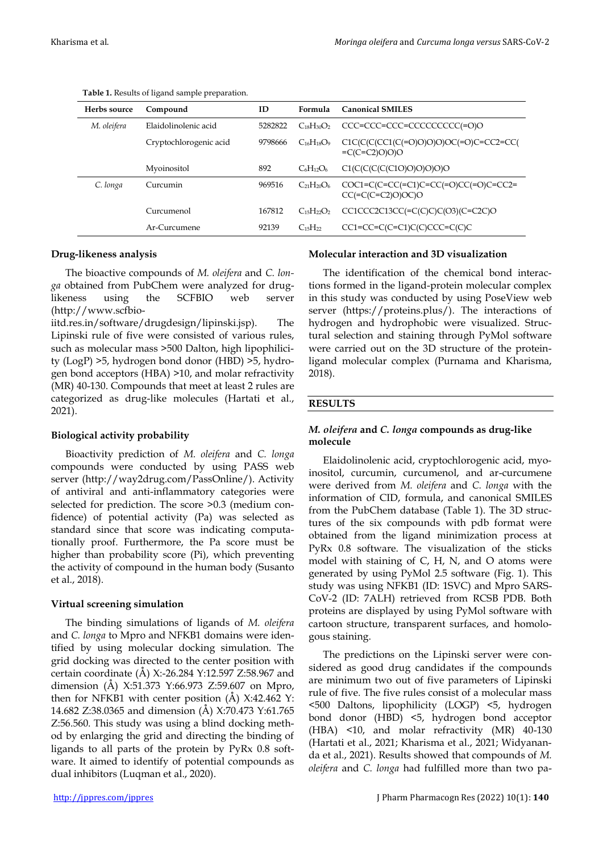| Herbs source | Compound               | ID      | Formula           | <b>Canonical SMILES</b>                                           |
|--------------|------------------------|---------|-------------------|-------------------------------------------------------------------|
| M. oleifera  | Elaidolinolenic acid   | 5282822 | $C_{18}H_{30}O_2$ | CCC=CCC=CCC=CCCCCCCCCC(=O)O                                       |
|              | Cryptochlorogenic acid | 9798666 | $C_{16}H_{18}O_9$ | $C1C(C(C(C1(C=O)O)O)O(C=O)C=CC2=CC)$<br>$=C(C=C2)O(0)O$           |
|              | Myoinositol            | 892     | $C_6H_{12}O_6$    | C1(C(C(C(C10)O)O)O)O)                                             |
| C. longa     | Curcumin               | 969516  | $C_{21}H_{20}O_6$ | $COC1=C(C=CC (=C1)C=CC (=O)CC (=O)C=CC2=$<br>$CC (=C(C=C2)O)OC)O$ |
|              | Curcumenol             | 167812  | $C_{15}H_{22}O_2$ | $CC1CC2C13CC (=C(C)C)C(O3)(C=C2C)O$                               |
|              | Ar-Curcumene           | 92139   | $C_{15}H_{22}$    | $CC1 = CC = C(C = C1)C(C)CCC = C(C)C$                             |

**Table 1.** Results of ligand sample preparation.

## **Drug-likeness analysis**

The bioactive compounds of *M. oleifera* and *C. longa* obtained from PubChem were analyzed for druglikeness using the SCFBIO web server (http://www.scfbio-

iitd.res.in/software/drugdesign/lipinski.jsp). The Lipinski rule of five were consisted of various rules, such as molecular mass >500 Dalton, high lipophilicity (LogP) >5, hydrogen bond donor (HBD) >5, hydrogen bond acceptors (HBA) >10, and molar refractivity (MR) 40-130. Compounds that meet at least 2 rules are categorized as drug-like molecules (Hartati et al., 2021).

#### **Biological activity probability**

Bioactivity prediction of *M. oleifera* and *C. longa* compounds were conducted by using PASS web server (http://way2drug.com/PassOnline/). Activity of antiviral and anti-inflammatory categories were selected for prediction. The score  $>0.3$  (medium confidence) of potential activity (Pa) was selected as standard since that score was indicating computationally proof. Furthermore, the Pa score must be higher than probability score (Pi), which preventing the activity of compound in the human body (Susanto et al., 2018).

## **Virtual screening simulation**

The binding simulations of ligands of *M. oleifera* and *C. longa* to Mpro and NFKB1 domains were identified by using molecular docking simulation. The grid docking was directed to the center position with certain coordinate (Å) X:-26.284 Y:12.597 Z:58.967 and dimension (Å) X:51.373 Y:66.973 Z:59.607 on Mpro, then for NFKB1 with center position  $(A)$  X:42.462 Y: 14.682 Z:38.0365 and dimension (Å) X:70.473 Y:61.765 Z:56.560. This study was using a blind docking method by enlarging the grid and directing the binding of ligands to all parts of the protein by PyRx 0.8 software. It aimed to identify of potential compounds as dual inhibitors (Luqman et al., 2020).

# **Molecular interaction and 3D visualization**

The identification of the chemical bond interactions formed in the ligand-protein molecular complex in this study was conducted by using PoseView web server (https://proteins.plus/). The interactions of hydrogen and hydrophobic were visualized. Structural selection and staining through PyMol software were carried out on the 3D structure of the proteinligand molecular complex (Purnama and Kharisma, 2018).

## **RESULTS**

# *M. oleifera* **and** *C. longa* **compounds as drug-like molecule**

Elaidolinolenic acid, cryptochlorogenic acid, myoinositol, curcumin, curcumenol, and ar-curcumene were derived from *M. oleifera* and *C. longa* with the information of CID, formula, and canonical SMILES from the PubChem database (Table 1). The 3D structures of the six compounds with pdb format were obtained from the ligand minimization process at PyRx 0.8 software. The visualization of the sticks model with staining of C, H, N, and O atoms were generated by using PyMol 2.5 software (Fig. 1). This study was using NFKB1 (ID: 1SVC) and Mpro SARS-CoV-2 (ID: 7ALH) retrieved from RCSB PDB. Both proteins are displayed by using PyMol software with cartoon structure, transparent surfaces, and homologous staining.

The predictions on the Lipinski server were considered as good drug candidates if the compounds are minimum two out of five parameters of Lipinski rule of five. The five rules consist of a molecular mass <500 Daltons, lipophilicity (LOGP) <5, hydrogen bond donor (HBD) <5, hydrogen bond acceptor (HBA) <10, and molar refractivity (MR) 40-130 (Hartati et al., 2021; Kharisma et al., 2021; Widyananda et al., 2021). Results showed that compounds of *M. oleifera* and *C. longa* had fulfilled more than two pa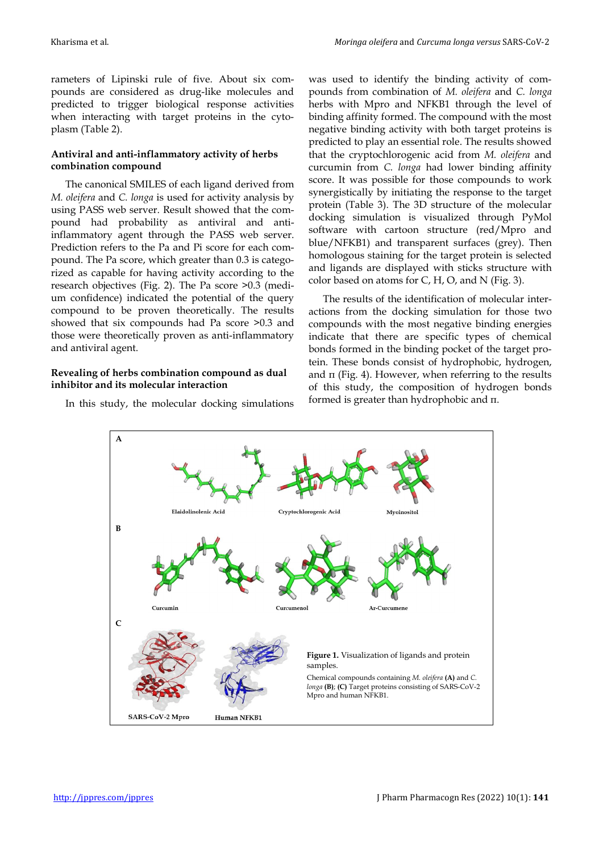rameters of Lipinski rule of five. About six compounds are considered as drug-like molecules and predicted to trigger biological response activities when interacting with target proteins in the cytoplasm (Table 2).

## **Antiviral and anti-inflammatory activity of herbs combination compound**

The canonical SMILES of each ligand derived from *M. oleifera* and *C. longa* is used for activity analysis by using PASS web server. Result showed that the compound had probability as antiviral and antiinflammatory agent through the PASS web server. Prediction refers to the Pa and Pi score for each compound. The Pa score, which greater than 0.3 is categorized as capable for having activity according to the research objectives (Fig. 2). The Pa score >0.3 (medium confidence) indicated the potential of the query compound to be proven theoretically. The results showed that six compounds had Pa score >0.3 and those were theoretically proven as anti-inflammatory and antiviral agent.

## **Revealing of herbs combination compound as dual inhibitor and its molecular interaction**

In this study, the molecular docking simulations

was used to identify the binding activity of compounds from combination of *M. oleifera* and *C. longa* herbs with Mpro and NFKB1 through the level of binding affinity formed. The compound with the most negative binding activity with both target proteins is predicted to play an essential role. The results showed that the cryptochlorogenic acid from *M. oleifera* and curcumin from *C. longa* had lower binding affinity score. It was possible for those compounds to work synergistically by initiating the response to the target protein (Table 3). The 3D structure of the molecular docking simulation is visualized through PyMol software with cartoon structure (red/Mpro and blue/NFKB1) and transparent surfaces (grey). Then homologous staining for the target protein is selected and ligands are displayed with sticks structure with color based on atoms for  $C$ ,  $H$ ,  $O$ , and  $N$  (Fig. 3).

The results of the identification of molecular interactions from the docking simulation for those two compounds with the most negative binding energies indicate that there are specific types of chemical bonds formed in the binding pocket of the target protein. These bonds consist of hydrophobic, hydrogen, and  $π$  (Fig. 4). However, when referring to the results of this study, the composition of hydrogen bonds formed is greater than hydrophobic and π.

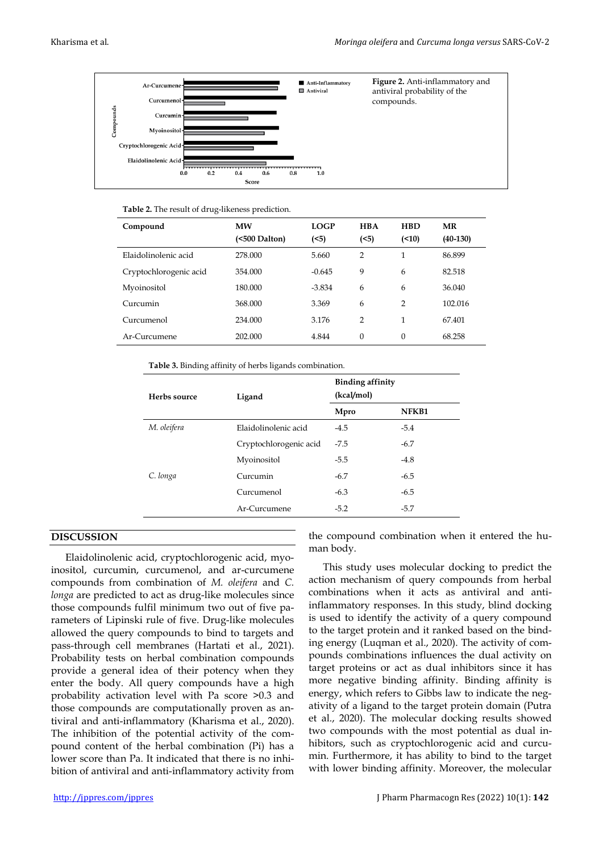

|  |  | Table 2. The result of drug-likeness prediction. |  |
|--|--|--------------------------------------------------|--|
|--|--|--------------------------------------------------|--|

| Compound               | MW<br>(<500 Dalton) | <b>LOGP</b><br>(<5) | <b>HBA</b><br>(5) | <b>HBD</b><br>(10) | MR<br>$(40-130)$ |  |
|------------------------|---------------------|---------------------|-------------------|--------------------|------------------|--|
| Elaidolinolenic acid   | 278,000             | 5.660               | $\overline{2}$    | 1                  | 86.899           |  |
| Cryptochlorogenic acid | 354.000             | $-0.645$            | 9                 | 6                  | 82.518           |  |
| Myoinositol            | 180.000             | $-3.834$            | 6                 | 6                  | 36.040           |  |
| Curcumin               | 368,000             | 3.369               | 6                 | 2                  | 102.016          |  |
| Curcumenol             | 234.000             | 3.176               | $\overline{2}$    |                    | 67.401           |  |
| Ar-Curcumene           | 202.000             | 4.844               | $\mathbf{0}$      | $\mathbf{0}$       | 68.258           |  |

**Table 3.** Binding affinity of herbs ligands combination.

| Herbs source | Ligand                 | <b>Binding affinity</b><br>(kcal/mol) |        |  |  |  |
|--------------|------------------------|---------------------------------------|--------|--|--|--|
|              |                        | Mpro                                  | NFKB1  |  |  |  |
| M. oleifera  | Elaidolinolenic acid   | $-4.5$                                | $-5.4$ |  |  |  |
|              | Cryptochlorogenic acid | $-7.5$                                | $-6.7$ |  |  |  |
|              | Myoinositol            | $-5.5$                                | $-4.8$ |  |  |  |
| C. longa     | Curcumin               | $-6.7$                                | $-6.5$ |  |  |  |
|              | Curcumenol             | $-6.3$                                | $-6.5$ |  |  |  |
|              | Ar-Curcumene           | $-5.2$                                | $-5.7$ |  |  |  |

#### **DISCUSSION**

Elaidolinolenic acid, cryptochlorogenic acid, myoinositol, curcumin, curcumenol, and ar-curcumene compounds from combination of *M. oleifera* and *C. longa* are predicted to act as drug-like molecules since those compounds fulfil minimum two out of five parameters of Lipinski rule of five. Drug-like molecules allowed the query compounds to bind to targets and pass-through cell membranes (Hartati et al., 2021). Probability tests on herbal combination compounds provide a general idea of their potency when they enter the body. All query compounds have a high probability activation level with Pa score >0.3 and those compounds are computationally proven as antiviral and anti-inflammatory (Kharisma et al., 2020). The inhibition of the potential activity of the compound content of the herbal combination (Pi) has a lower score than Pa. It indicated that there is no inhibition of antiviral and anti-inflammatory activity from

the compound combination when it entered the human body.

This study uses molecular docking to predict the action mechanism of query compounds from herbal combinations when it acts as antiviral and antiinflammatory responses. In this study, blind docking is used to identify the activity of a query compound to the target protein and it ranked based on the binding energy (Luqman et al., 2020). The activity of compounds combinations influences the dual activity on target proteins or act as dual inhibitors since it has more negative binding affinity. Binding affinity is energy, which refers to Gibbs law to indicate the negativity of a ligand to the target protein domain (Putra et al., 2020). The molecular docking results showed two compounds with the most potential as dual inhibitors, such as cryptochlorogenic acid and curcumin. Furthermore, it has ability to bind to the target with lower binding affinity. Moreover, the molecular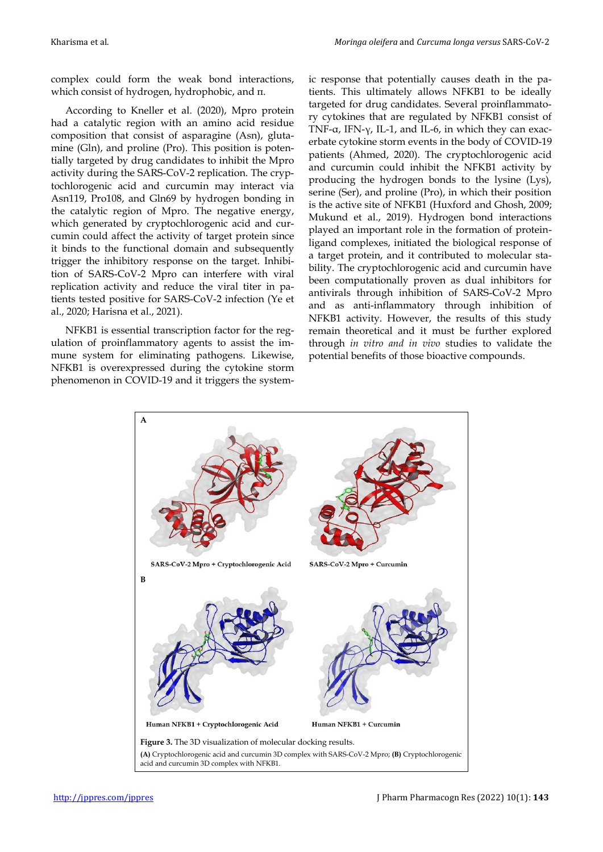complex could form the weak bond interactions, which consist of hydrogen, hydrophobic, and π.

According to Kneller et al. (2020), Mpro protein had a catalytic region with an amino acid residue composition that consist of asparagine (Asn), glutamine (Gln), and proline (Pro). This position is potentially targeted by drug candidates to inhibit the Mpro activity during the SARS-CoV-2 replication. The cryptochlorogenic acid and curcumin may interact via Asn119, Pro108, and Gln69 by hydrogen bonding in the catalytic region of Mpro. The negative energy, which generated by cryptochlorogenic acid and curcumin could affect the activity of target protein since it binds to the functional domain and subsequently trigger the inhibitory response on the target. Inhibition of SARS-CoV-2 Mpro can interfere with viral replication activity and reduce the viral titer in patients tested positive for SARS-CoV-2 infection (Ye et al., 2020; Harisna et al., 2021).

NFKB1 is essential transcription factor for the regulation of proinflammatory agents to assist the immune system for eliminating pathogens. Likewise, NFKB1 is overexpressed during the cytokine storm phenomenon in COVID-19 and it triggers the systemic response that potentially causes death in the patients. This ultimately allows NFKB1 to be ideally targeted for drug candidates. Several proinflammatory cytokines that are regulated by NFKB1 consist of TNF-α, IFN-γ, IL-1, and IL-6, in which they can exacerbate cytokine storm events in the body of COVID-19 patients (Ahmed, 2020). The cryptochlorogenic acid and curcumin could inhibit the NFKB1 activity by producing the hydrogen bonds to the lysine (Lys), serine (Ser), and proline (Pro), in which their position is the active site of NFKB1 (Huxford and Ghosh, 2009; Mukund et al., 2019). Hydrogen bond interactions played an important role in the formation of proteinligand complexes, initiated the biological response of a target protein, and it contributed to molecular stability. The cryptochlorogenic acid and curcumin have been computationally proven as dual inhibitors for antivirals through inhibition of SARS-CoV-2 Mpro and as anti-inflammatory through inhibition of NFKB1 activity. However, the results of this study remain theoretical and it must be further explored through *in vitro and in vivo* studies to validate the potential benefits of those bioactive compounds.

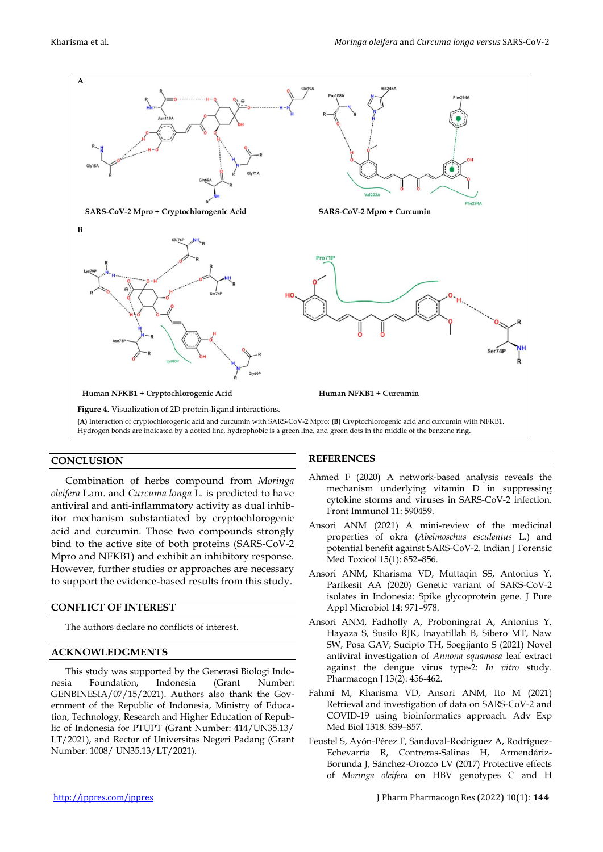

## **CONCLUSION**

Combination of herbs compound from *Moringa oleifera* Lam. and *Curcuma longa* L. is predicted to have antiviral and anti-inflammatory activity as dual inhibitor mechanism substantiated by cryptochlorogenic acid and curcumin. Those two compounds strongly bind to the active site of both proteins (SARS-CoV-2 Mpro and NFKB1) and exhibit an inhibitory response. However, further studies or approaches are necessary to support the evidence-based results from this study.

#### **CONFLICT OF INTEREST**

The authors declare no conflicts of interest.

#### **ACKNOWLEDGMENTS**

This study was supported by the Generasi Biologi Indonesia Foundation, Indonesia (Grant Number: GENBINESIA/07/15/2021). Authors also thank the Government of the Republic of Indonesia, Ministry of Education, Technology, Research and Higher Education of Republic of Indonesia for PTUPT (Grant Number: 414/UN35.13/ LT/2021), and Rector of Universitas Negeri Padang (Grant Number: 1008/ UN35.13/LT/2021).

#### **REFERENCES**

- Ahmed F (2020) A network-based analysis reveals the mechanism underlying vitamin D in suppressing cytokine storms and viruses in SARS-CoV-2 infection. Front Immunol 11: 590459.
- Ansori ANM (2021) A mini-review of the medicinal properties of okra (*Abelmoschus esculentus* L.) and potential benefit against SARS-CoV-2. Indian J Forensic Med Toxicol 15(1): 852–856.
- Ansori ANM, Kharisma VD, Muttaqin SS, Antonius Y, Parikesit AA (2020) Genetic variant of SARS-CoV-2 isolates in Indonesia: Spike glycoprotein gene. J Pure Appl Microbiol 14: 971–978.
- Ansori ANM, Fadholly A, Proboningrat A, Antonius Y, Hayaza S, Susilo RJK, Inayatillah B, Sibero MT, Naw SW, Posa GAV, Sucipto TH, Soegijanto S (2021) Novel antiviral investigation of *Annona squamosa* leaf extract against the dengue virus type-2: *In vitro* study. Pharmacogn J 13(2): 456-462.
- Fahmi M, Kharisma VD, Ansori ANM, Ito M (2021) Retrieval and investigation of data on SARS-CoV-2 and COVID-19 using bioinformatics approach. Adv Exp Med Biol 1318: 839–857.
- Feustel S, Ayón-Pérez F, Sandoval-Rodriguez A, Rodríguez-Echevarría R, Contreras-Salinas H, Armendáriz-Borunda J, Sánchez-Orozco LV (2017) Protective effects of *Moringa oleifera* on HBV genotypes C and H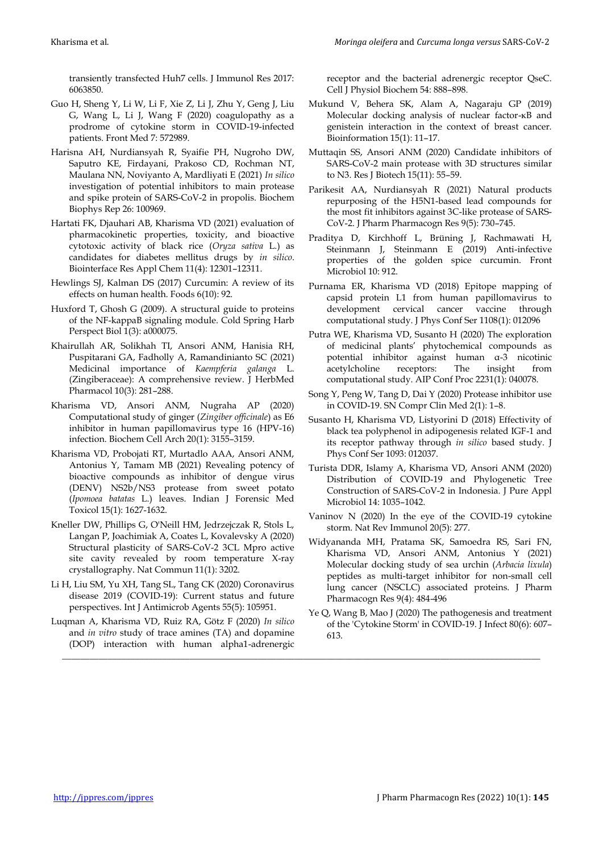transiently transfected Huh7 cells. J Immunol Res 2017: 6063850.

- Guo H, Sheng Y, Li W, Li F, Xie Z, Li J, Zhu Y, Geng J, Liu G, Wang L, Li J, Wang F (2020) coagulopathy as a prodrome of cytokine storm in COVID-19-infected patients. Front Med 7: 572989.
- Harisna AH, Nurdiansyah R, Syaifie PH, Nugroho DW, Saputro KE, Firdayani, Prakoso CD, Rochman NT, Maulana NN, Noviyanto A, Mardliyati E (2021) *In silico* investigation of potential inhibitors to main protease and spike protein of SARS-CoV-2 in propolis. Biochem Biophys Rep 26: 100969.
- Hartati FK, Djauhari AB, Kharisma VD (2021) evaluation of pharmacokinetic properties, toxicity, and bioactive cytotoxic activity of black rice (*Oryza sativa* L.) as candidates for diabetes mellitus drugs by *in silico*. Biointerface Res Appl Chem 11(4): 12301–12311.
- Hewlings SJ, Kalman DS (2017) Curcumin: A review of its effects on human health. Foods 6(10): 92.
- Huxford T, Ghosh G (2009). A structural guide to proteins of the NF-kappaB signaling module. Cold Spring Harb Perspect Biol 1(3): a000075.
- Khairullah AR, Solikhah TI, Ansori ANM, Hanisia RH, Puspitarani GA, Fadholly A, Ramandinianto SC (2021) Medicinal importance of *Kaempferia galanga* L. (Zingiberaceae): A comprehensive review. J HerbMed Pharmacol 10(3): 281–288.
- Kharisma VD, Ansori ANM, Nugraha AP (2020) Computational study of ginger (*Zingiber officinale*) as E6 inhibitor in human papillomavirus type 16 (HPV-16) infection. Biochem Cell Arch 20(1): 3155–3159.
- Kharisma VD, Probojati RT, Murtadlo AAA, Ansori ANM, Antonius Y, Tamam MB (2021) Revealing potency of bioactive compounds as inhibitor of dengue virus (DENV) NS2b/NS3 protease from sweet potato (*Ipomoea batatas* L.) leaves. Indian J Forensic Med Toxicol 15(1): 1627-1632.
- Kneller DW, Phillips G, O'Neill HM, Jedrzejczak R, Stols L, Langan P, Joachimiak A, Coates L, Kovalevsky A (2020) Structural plasticity of SARS-CoV-2 3CL Mpro active site cavity revealed by room temperature X-ray crystallography. Nat Commun 11(1): 3202.
- Li H, Liu SM, Yu XH, Tang SL, Tang CK (2020) Coronavirus disease 2019 (COVID-19): Current status and future perspectives. Int J Antimicrob Agents 55(5): 105951.
- Luqman A, Kharisma VD, Ruiz RA, Götz F (2020) *In silico* and *in vitro* study of trace amines (TA) and dopamine (DOP) interaction with human alpha1-adrenergic

\_\_\_\_\_\_\_\_\_\_\_\_\_\_\_\_\_\_\_\_\_\_\_\_\_\_\_\_\_\_\_\_\_\_\_\_\_\_\_\_\_\_\_\_\_\_\_\_\_\_\_\_\_\_\_\_\_\_\_\_\_\_\_\_\_\_\_\_\_\_\_\_\_\_\_\_\_\_\_\_\_\_\_\_\_\_\_\_\_\_\_\_\_\_\_\_\_\_\_\_\_\_\_\_\_

receptor and the bacterial adrenergic receptor QseC. Cell J Physiol Biochem 54: 888–898.

- Mukund V, Behera SK, Alam A, Nagaraju GP (2019) Molecular docking analysis of nuclear factor-κB and genistein interaction in the context of breast cancer. Bioinformation 15(1): 11–17.
- Muttaqin SS, Ansori ANM (2020) Candidate inhibitors of SARS-CoV-2 main protease with 3D structures similar to N3. Res J Biotech 15(11): 55–59.
- Parikesit AA, Nurdiansyah R (2021) Natural products repurposing of the H5N1-based lead compounds for the most fit inhibitors against 3C-like protease of SARS-CoV-2. J Pharm Pharmacogn Res 9(5): 730–745.
- Praditya D, Kirchhoff L, Brüning J, Rachmawati H, Steinmann J, Steinmann E (2019) Anti-infective properties of the golden spice curcumin. Front Microbiol 10: 912.
- Purnama ER, Kharisma VD (2018) Epitope mapping of capsid protein L1 from human papillomavirus to development cervical cancer vaccine through computational study. J Phys Conf Ser 1108(1): 012096
- Putra WE, Kharisma VD, Susanto H (2020) The exploration of medicinal plants' phytochemical compounds as potential inhibitor against human α-3 nicotinic acetylcholine receptors: The insight from computational study. AIP Conf Proc 2231(1): 040078.
- Song Y, Peng W, Tang D, Dai Y (2020) Protease inhibitor use in COVID-19. SN Compr Clin Med 2(1): 1–8.
- Susanto H, Kharisma VD, Listyorini D (2018) Effectivity of black tea polyphenol in adipogenesis related IGF-1 and its receptor pathway through *in silico* based study. J Phys Conf Ser 1093: 012037.
- Turista DDR, Islamy A, Kharisma VD, Ansori ANM (2020) Distribution of COVID-19 and Phylogenetic Tree Construction of SARS-CoV-2 in Indonesia. J Pure Appl Microbiol 14: 1035–1042.
- Vaninov N (2020) In the eye of the COVID-19 cytokine storm. Nat Rev Immunol 20(5): 277.
- Widyananda MH, Pratama SK, Samoedra RS, Sari FN, Kharisma VD, Ansori ANM, Antonius Y (2021) Molecular docking study of sea urchin (*Arbacia lixula*) peptides as multi-target inhibitor for non-small cell lung cancer (NSCLC) associated proteins. J Pharm Pharmacogn Res 9(4): 484-496
- Ye Q, Wang B, Mao J (2020) The pathogenesis and treatment of the 'Cytokine Storm' in COVID-19. J Infect 80(6): 607– 613.